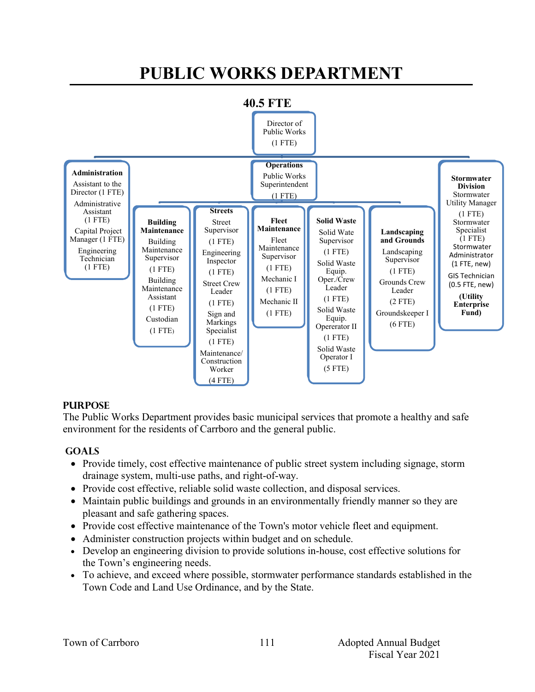# **PUBLIC WORKS DEPARTMENT**



#### **PURPOSE**

The Public Works Department provides basic municipal services that promote a healthy and safe environment for the residents of Carrboro and the general public.

#### **GOALS**

- Provide timely, cost effective maintenance of public street system including signage, storm drainage system, multi-use paths, and right-of-way.
- Provide cost effective, reliable solid waste collection, and disposal services.
- Maintain public buildings and grounds in an environmentally friendly manner so they are pleasant and safe gathering spaces.
- Provide cost effective maintenance of the Town's motor vehicle fleet and equipment.
- Administer construction projects within budget and on schedule.
- Develop an engineering division to provide solutions in-house, cost effective solutions for the Town's engineering needs.
- To achieve, and exceed where possible, stormwater performance standards established in the Town Code and Land Use Ordinance, and by the State.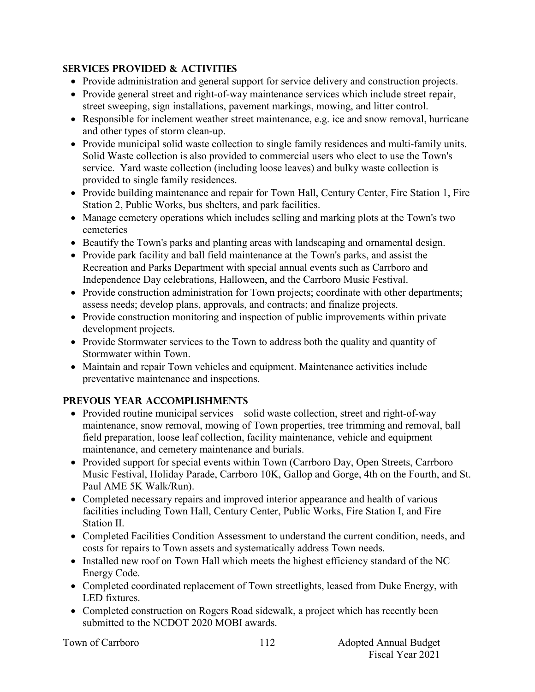### **Services PROVIDED & ACTIVITIES**

- Provide administration and general support for service delivery and construction projects.
- Provide general street and right-of-way maintenance services which include street repair, street sweeping, sign installations, pavement markings, mowing, and litter control.
- Responsible for inclement weather street maintenance, e.g. ice and snow removal, hurricane and other types of storm clean-up.
- Provide municipal solid waste collection to single family residences and multi-family units. Solid Waste collection is also provided to commercial users who elect to use the Town's service. Yard waste collection (including loose leaves) and bulky waste collection is provided to single family residences.
- Provide building maintenance and repair for Town Hall, Century Center, Fire Station 1, Fire Station 2, Public Works, bus shelters, and park facilities.
- Manage cemetery operations which includes selling and marking plots at the Town's two cemeteries
- Beautify the Town's parks and planting areas with landscaping and ornamental design.
- Provide park facility and ball field maintenance at the Town's parks, and assist the Recreation and Parks Department with special annual events such as Carrboro and Independence Day celebrations, Halloween, and the Carrboro Music Festival.
- Provide construction administration for Town projects; coordinate with other departments; assess needs; develop plans, approvals, and contracts; and finalize projects.
- Provide construction monitoring and inspection of public improvements within private development projects.
- Provide Stormwater services to the Town to address both the quality and quantity of Stormwater within Town.
- Maintain and repair Town vehicles and equipment. Maintenance activities include preventative maintenance and inspections.

# **PREVOUS YEAR ACCOMPLISHMENTS**

- Provided routine municipal services solid waste collection, street and right-of-way maintenance, snow removal, mowing of Town properties, tree trimming and removal, ball field preparation, loose leaf collection, facility maintenance, vehicle and equipment maintenance, and cemetery maintenance and burials.
- Provided support for special events within Town (Carrboro Day, Open Streets, Carrboro Music Festival, Holiday Parade, Carrboro 10K, Gallop and Gorge, 4th on the Fourth, and St. Paul AME 5K Walk/Run).
- Completed necessary repairs and improved interior appearance and health of various facilities including Town Hall, Century Center, Public Works, Fire Station I, and Fire Station II.
- Completed Facilities Condition Assessment to understand the current condition, needs, and costs for repairs to Town assets and systematically address Town needs.
- Installed new roof on Town Hall which meets the highest efficiency standard of the NC Energy Code.
- Completed coordinated replacement of Town streetlights, leased from Duke Energy, with LED fixtures.
- Completed construction on Rogers Road sidewalk, a project which has recently been submitted to the NCDOT 2020 MOBI awards.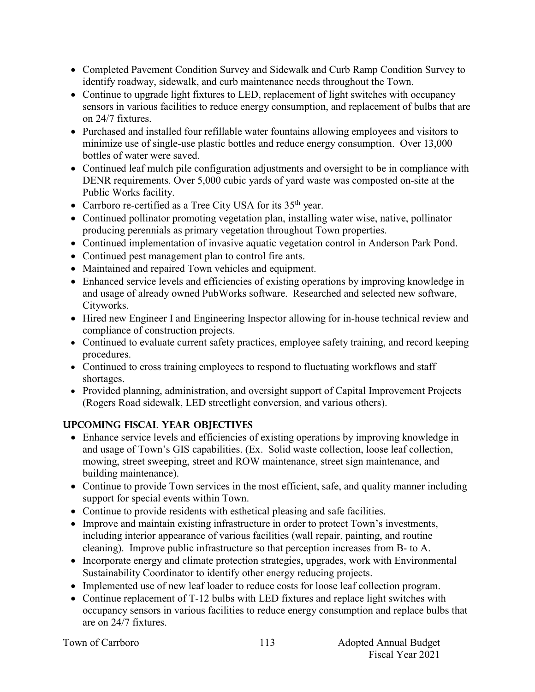- Completed Pavement Condition Survey and Sidewalk and Curb Ramp Condition Survey to identify roadway, sidewalk, and curb maintenance needs throughout the Town.
- Continue to upgrade light fixtures to LED, replacement of light switches with occupancy sensors in various facilities to reduce energy consumption, and replacement of bulbs that are on 24/7 fixtures.
- Purchased and installed four refillable water fountains allowing employees and visitors to minimize use of single-use plastic bottles and reduce energy consumption. Over 13,000 bottles of water were saved.
- Continued leaf mulch pile configuration adjustments and oversight to be in compliance with DENR requirements. Over 5,000 cubic yards of yard waste was composted on-site at the Public Works facility.
- Carrboro re-certified as a Tree City USA for its  $35<sup>th</sup>$  year.
- Continued pollinator promoting vegetation plan, installing water wise, native, pollinator producing perennials as primary vegetation throughout Town properties.
- Continued implementation of invasive aquatic vegetation control in Anderson Park Pond.
- Continued pest management plan to control fire ants.
- Maintained and repaired Town vehicles and equipment.
- Enhanced service levels and efficiencies of existing operations by improving knowledge in and usage of already owned PubWorks software. Researched and selected new software, Cityworks.
- Hired new Engineer I and Engineering Inspector allowing for in-house technical review and compliance of construction projects.
- Continued to evaluate current safety practices, employee safety training, and record keeping procedures.
- Continued to cross training employees to respond to fluctuating workflows and staff shortages.
- Provided planning, administration, and oversight support of Capital Improvement Projects (Rogers Road sidewalk, LED streetlight conversion, and various others).

# **UPCOMING FISCAL YEAR OBJECTIVES**

- Enhance service levels and efficiencies of existing operations by improving knowledge in and usage of Town's GIS capabilities. (Ex. Solid waste collection, loose leaf collection, mowing, street sweeping, street and ROW maintenance, street sign maintenance, and building maintenance).
- Continue to provide Town services in the most efficient, safe, and quality manner including support for special events within Town.
- Continue to provide residents with esthetical pleasing and safe facilities.
- Improve and maintain existing infrastructure in order to protect Town's investments, including interior appearance of various facilities (wall repair, painting, and routine cleaning). Improve public infrastructure so that perception increases from B- to A.
- Incorporate energy and climate protection strategies, upgrades, work with Environmental Sustainability Coordinator to identify other energy reducing projects.
- Implemented use of new leaf loader to reduce costs for loose leaf collection program.
- Continue replacement of T-12 bulbs with LED fixtures and replace light switches with occupancy sensors in various facilities to reduce energy consumption and replace bulbs that are on 24/7 fixtures.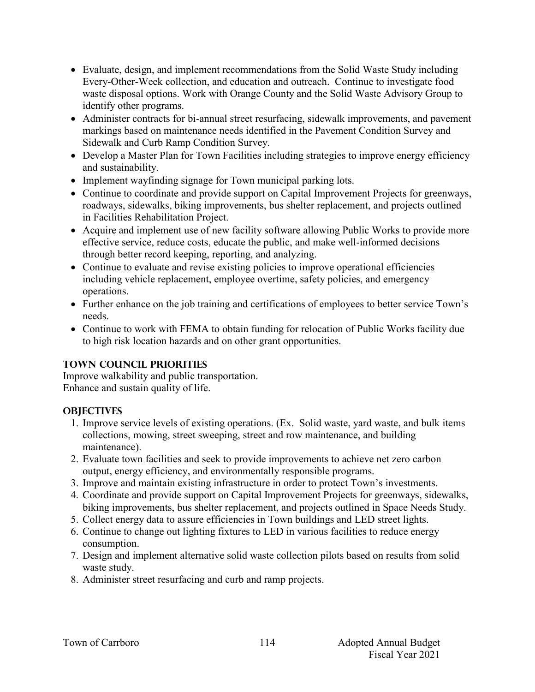- Evaluate, design, and implement recommendations from the Solid Waste Study including Every-Other-Week collection, and education and outreach. Continue to investigate food waste disposal options. Work with Orange County and the Solid Waste Advisory Group to identify other programs.
- Administer contracts for bi-annual street resurfacing, sidewalk improvements, and pavement markings based on maintenance needs identified in the Pavement Condition Survey and Sidewalk and Curb Ramp Condition Survey.
- Develop a Master Plan for Town Facilities including strategies to improve energy efficiency and sustainability.
- Implement wayfinding signage for Town municipal parking lots.
- Continue to coordinate and provide support on Capital Improvement Projects for greenways, roadways, sidewalks, biking improvements, bus shelter replacement, and projects outlined in Facilities Rehabilitation Project.
- Acquire and implement use of new facility software allowing Public Works to provide more effective service, reduce costs, educate the public, and make well-informed decisions through better record keeping, reporting, and analyzing.
- Continue to evaluate and revise existing policies to improve operational efficiencies including vehicle replacement, employee overtime, safety policies, and emergency operations.
- Further enhance on the job training and certifications of employees to better service Town's needs.
- Continue to work with FEMA to obtain funding for relocation of Public Works facility due to high risk location hazards and on other grant opportunities.

#### **TOWN COUNCIL PRIORITIES**

Improve walkability and public transportation. Enhance and sustain quality of life.

## **OBJECTIVES**

- 1. Improve service levels of existing operations. (Ex. Solid waste, yard waste, and bulk items collections, mowing, street sweeping, street and row maintenance, and building maintenance).
- 2. Evaluate town facilities and seek to provide improvements to achieve net zero carbon output, energy efficiency, and environmentally responsible programs.
- 3. Improve and maintain existing infrastructure in order to protect Town's investments.
- 4. Coordinate and provide support on Capital Improvement Projects for greenways, sidewalks, biking improvements, bus shelter replacement, and projects outlined in Space Needs Study.
- 5. Collect energy data to assure efficiencies in Town buildings and LED street lights.
- 6. Continue to change out lighting fixtures to LED in various facilities to reduce energy consumption.
- 7. Design and implement alternative solid waste collection pilots based on results from solid waste study.
- 8. Administer street resurfacing and curb and ramp projects.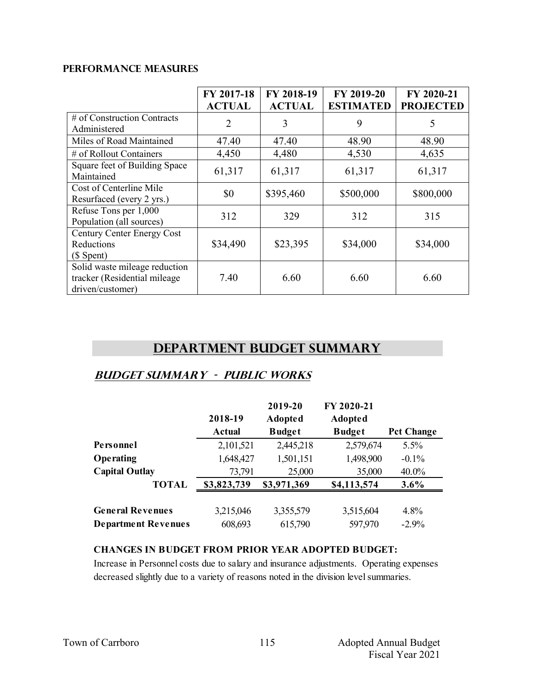#### **PERFORMANCE MEASURES**

|                                                                                   | FY 2017-18<br><b>ACTUAL</b> | FY 2018-19<br><b>ACTUAL</b> | FY 2019-20<br><b>ESTIMATED</b> | FY 2020-21<br><b>PROJECTED</b> |
|-----------------------------------------------------------------------------------|-----------------------------|-----------------------------|--------------------------------|--------------------------------|
| # of Construction Contracts<br>Administered                                       | $\overline{2}$              | 3                           | 9                              | 5                              |
| Miles of Road Maintained                                                          | 47.40                       | 47.40                       | 48.90                          | 48.90                          |
| # of Rollout Containers                                                           | 4,450                       | 4,480                       | 4,530                          | 4,635                          |
| Square feet of Building Space<br>Maintained                                       | 61,317                      | 61,317                      | 61,317                         | 61,317                         |
| Cost of Centerline Mile<br>Resurfaced (every 2 yrs.)                              | \$0                         | \$395,460                   | \$500,000                      | \$800,000                      |
| Refuse Tons per 1,000<br>Population (all sources)                                 | 312                         | 329                         | 312                            | 315                            |
| Century Center Energy Cost<br>Reductions<br>$($$ Spent $)$                        | \$34,490                    | \$23,395                    | \$34,000                       | \$34,000                       |
| Solid waste mileage reduction<br>tracker (Residential mileage<br>driven/customer) | 7.40                        | 6.60                        | 6.60                           | 6.60                           |

# **Department Budget Summary**

# **Budget summary - public works**

|                            | 2018-19<br><b>Actual</b> | 2019-20<br><b>Adopted</b><br><b>Budget</b> | FY 2020-21<br><b>Adopted</b><br><b>Budget</b> | <b>Pct Change</b> |
|----------------------------|--------------------------|--------------------------------------------|-----------------------------------------------|-------------------|
| Personnel                  | 2,101,521                | 2,445,218                                  | 2,579,674                                     | 5.5%              |
| Operating                  | 1,648,427                | 1,501,151                                  | 1,498,900                                     | $-0.1\%$          |
| <b>Capital Outlay</b>      | 73,791                   | 25,000                                     | 35,000                                        | $40.0\%$          |
| <b>TOTAL</b>               | \$3,823,739              | \$3,971,369                                | \$4,113,574                                   | 3.6%              |
| <b>General Revenues</b>    | 3,215,046                | 3,355,579                                  | 3,515,604                                     | 4.8%              |
| <b>Department Revenues</b> | 608,693                  | 615,790                                    | 597,970                                       | $-2.9%$           |

#### **CHANGES IN BUDGET FROM PRIOR YEAR ADOPTED BUDGET:**

Increase in Personnel costs due to salary and insurance adjustments. Operating expenses decreased slightly due to a variety of reasons noted in the division level summaries.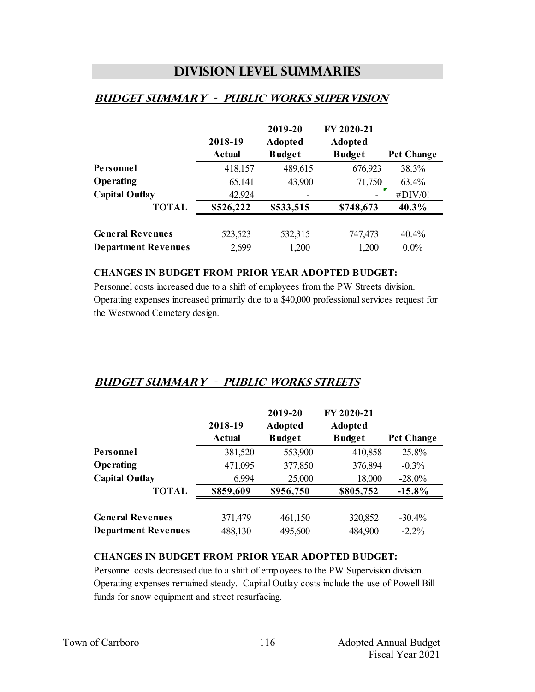# **Division Level Summaries**

## **Budget summary - public works supervision**

|                            | 2018-19       | 2019-20<br><b>Adopted</b> | FY 2020-21<br><b>Adopted</b> |                   |
|----------------------------|---------------|---------------------------|------------------------------|-------------------|
|                            | <b>Actual</b> | <b>Budget</b>             | <b>Budget</b>                | <b>Pct Change</b> |
| Personnel                  | 418,157       | 489,615                   | 676,923                      | 38.3%             |
| Operating                  | 65,141        | 43,900                    | 71,750                       | $63.4\%$          |
| <b>Capital Outlay</b>      | 42,924        |                           |                              | #DIV/0!           |
| <b>TOTAL</b>               | \$526,222     | \$533,515                 | \$748,673                    | 40.3%             |
|                            |               |                           |                              |                   |
| <b>General Revenues</b>    | 523,523       | 532,315                   | 747,473                      | 40.4%             |
| <b>Department Revenues</b> | 2,699         | 1,200                     | 1,200                        | $0.0\%$           |

#### **CHANGES IN BUDGET FROM PRIOR YEAR ADOPTED BUDGET:**

Personnel costs increased due to a shift of employees from the PW Streets division. Operating expenses increased primarily due to a \$40,000 professional services request for the Westwood Cemetery design.

## **Budget summary - public works streets**

|                            | 2018-19<br><b>Actual</b> | 2019-20<br><b>Adopted</b><br><b>Budget</b> | FY 2020-21<br><b>Adopted</b><br><b>Budget</b> | <b>Pct Change</b> |
|----------------------------|--------------------------|--------------------------------------------|-----------------------------------------------|-------------------|
| Personnel                  | 381,520                  | 553,900                                    | 410,858                                       | $-25.8%$          |
| Operating                  | 471,095                  | 377,850                                    | 376,894                                       | $-0.3\%$          |
| <b>Capital Outlay</b>      | 6,994                    | 25,000                                     | 18,000                                        | $-28.0\%$         |
| <b>TOTAL</b>               | \$859,609                | \$956,750                                  | \$805,752                                     | $-15.8\%$         |
| <b>General Revenues</b>    | 371,479                  | 461,150                                    | 320,852                                       | $-30.4%$          |
| <b>Department Revenues</b> | 488,130                  | 495,600                                    | 484,900                                       | $-2.2\%$          |

#### **CHANGES IN BUDGET FROM PRIOR YEAR ADOPTED BUDGET:**

Personnel costs decreased due to a shift of employees to the PW Supervision division. Operating expenses remained steady. Capital Outlay costs include the use of Powell Bill funds for snow equipment and street resurfacing.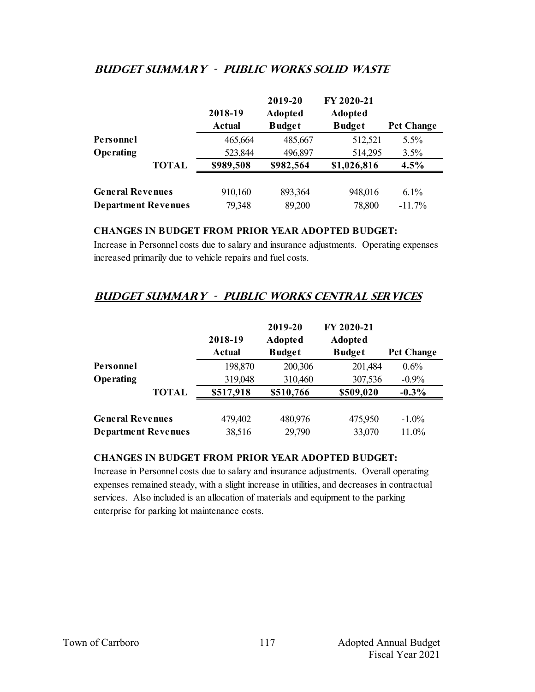## **Budget summary - public works solid waste**

|                            |              | 2018-19<br><b>Actual</b> | 2019-20<br><b>Adopted</b><br><b>Budget</b> | FY 2020-21<br><b>Adopted</b><br><b>Budget</b> | <b>Pct Change</b> |
|----------------------------|--------------|--------------------------|--------------------------------------------|-----------------------------------------------|-------------------|
| Personnel                  |              | 465,664                  | 485,667                                    | 512,521                                       | 5.5%              |
| Operating                  |              | 523,844                  | 496,897                                    | 514,295                                       | 3.5%              |
|                            | <b>TOTAL</b> | \$989,508                | \$982,564                                  | \$1,026,816                                   | 4.5%              |
| <b>General Revenues</b>    |              | 910,160                  | 893,364                                    | 948,016                                       | $6.1\%$           |
| <b>Department Revenues</b> |              | 79,348                   | 89,200                                     | 78,800                                        | $-11.7%$          |

#### **CHANGES IN BUDGET FROM PRIOR YEAR ADOPTED BUDGET:**

Increase in Personnel costs due to salary and insurance adjustments. Operating expenses increased primarily due to vehicle repairs and fuel costs.

# **Budget summary - public works central services**

|                            |              | 2018-19<br><b>Actual</b> | 2019-20<br><b>Adopted</b><br><b>Budget</b> | FY 2020-21<br><b>Adopted</b><br><b>Budget</b> | <b>Pct Change</b> |
|----------------------------|--------------|--------------------------|--------------------------------------------|-----------------------------------------------|-------------------|
| Personnel                  |              | 198,870                  | 200,306                                    | 201,484                                       | 0.6%              |
| Operating                  |              | 319,048                  | 310,460                                    | 307,536                                       | $-0.9\%$          |
|                            | <b>TOTAL</b> | \$517,918                | \$510,766                                  | \$509,020                                     | $-0.3\%$          |
| <b>General Revenues</b>    |              | 479,402                  | 480,976                                    | 475,950                                       | $-1.0\%$          |
| <b>Department Revenues</b> |              | 38,516                   | 29,790                                     | 33,070                                        | 11.0%             |

#### **CHANGES IN BUDGET FROM PRIOR YEAR ADOPTED BUDGET:**

Increase in Personnel costs due to salary and insurance adjustments. Overall operating expenses remained steady, with a slight increase in utilities, and decreases in contractual services. Also included is an allocation of materials and equipment to the parking enterprise for parking lot maintenance costs.